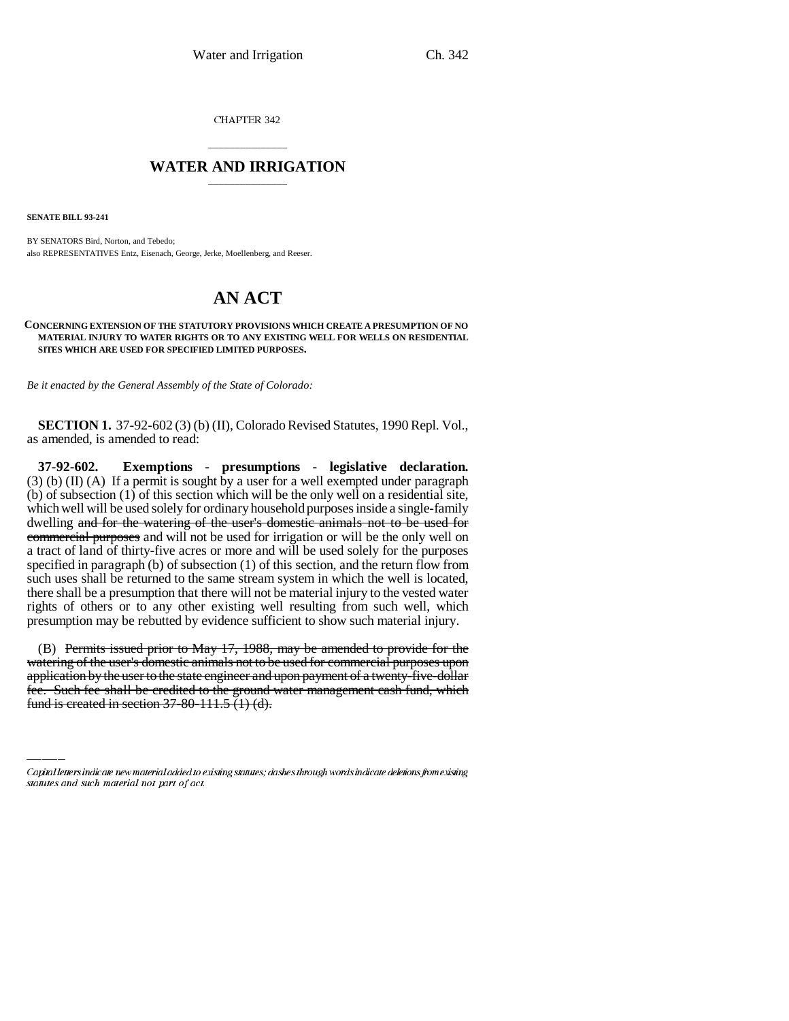CHAPTER 342

## \_\_\_\_\_\_\_\_\_\_\_\_\_\_\_ **WATER AND IRRIGATION** \_\_\_\_\_\_\_\_\_\_\_\_\_\_\_

**SENATE BILL 93-241**

BY SENATORS Bird, Norton, and Tebedo; also REPRESENTATIVES Entz, Eisenach, George, Jerke, Moellenberg, and Reeser.

## **AN ACT**

**CONCERNING EXTENSION OF THE STATUTORY PROVISIONS WHICH CREATE A PRESUMPTION OF NO MATERIAL INJURY TO WATER RIGHTS OR TO ANY EXISTING WELL FOR WELLS ON RESIDENTIAL SITES WHICH ARE USED FOR SPECIFIED LIMITED PURPOSES.**

*Be it enacted by the General Assembly of the State of Colorado:*

**SECTION 1.** 37-92-602 (3) (b) (II), Colorado Revised Statutes, 1990 Repl. Vol., as amended, is amended to read:

**37-92-602. Exemptions - presumptions - legislative declaration.**  $(3)$  (b) (II) (A) If a permit is sought by a user for a well exempted under paragraph (b) of subsection (1) of this section which will be the only well on a residential site, which well will be used solely for ordinary household purposes inside a single-family dwelling and for the watering of the user's domestic animals not to be used for commercial purposes and will not be used for irrigation or will be the only well on a tract of land of thirty-five acres or more and will be used solely for the purposes specified in paragraph (b) of subsection (1) of this section, and the return flow from such uses shall be returned to the same stream system in which the well is located, there shall be a presumption that there will not be material injury to the vested water rights of others or to any other existing well resulting from such well, which presumption may be rebutted by evidence sufficient to show such material injury.

watering of the user's domestic animals not to be used for commercial purposes upon (B) Permits issued prior to May 17, 1988, may be amended to provide for the application by the user to the state engineer and upon payment of a twenty-five-dollar fee. Such fee shall be credited to the ground water management cash fund, which fund is created in section 37-80-111.5 (1) (d).

Capital letters indicate new material added to existing statutes; dashes through words indicate deletions from existing statutes and such material not part of act.